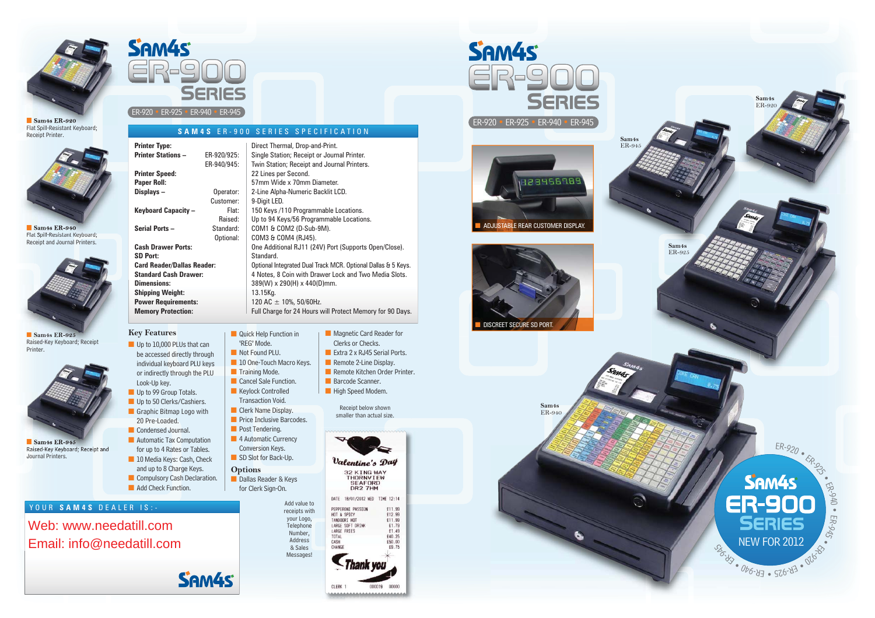



#### ■ **Sam4s ER-920** Flat Spill-Resistant Keyboard; Receipt Printer.



■ **Sam4s ER-940** Flat Spill-Resistant Keyboard; Receipt and Journal Printers.



■ **Sam4s ER-925** Raised-Key Keyboard; Receipt Printer.



■ **Sam4s ER-945** Raised-Key Keyboard; Receipt and Journal Printers.

|                                                                                                                                                           | <b>Printer Type:</b><br><b>Printer Stations -</b><br><b>Printer Speed:</b><br>Paper Roll:<br>Displays-<br>Keyboard Capacity -                                                                                                                                                                                                                                                                                                                                               | ER-920/925:<br>ER-940/945:<br>Operator:<br>Customer:<br>Flat:<br>Raised: | Direct Thermal, Drop-and-Print.<br>Single Station; Receipt or Journal Printer.<br>Twin Station; Receipt and Journal Printers.<br>22 Lines per Second.<br>57mm Wide x 70mm Diameter.<br>2-Line Alpha-Numeric Backlit LCD.<br>9-Digit LED.<br>150 Keys /110 Programmable Locations.<br>Up to 94 Keys/56 Programmable Locations.                                                                   |                                                                                                                                                                                                                                                                                                                                                     |
|-----------------------------------------------------------------------------------------------------------------------------------------------------------|-----------------------------------------------------------------------------------------------------------------------------------------------------------------------------------------------------------------------------------------------------------------------------------------------------------------------------------------------------------------------------------------------------------------------------------------------------------------------------|--------------------------------------------------------------------------|-------------------------------------------------------------------------------------------------------------------------------------------------------------------------------------------------------------------------------------------------------------------------------------------------------------------------------------------------------------------------------------------------|-----------------------------------------------------------------------------------------------------------------------------------------------------------------------------------------------------------------------------------------------------------------------------------------------------------------------------------------------------|
| Sam <sub>4s</sub> ER-940<br>Flat Spill-Resistant Keyboard;<br>Receipt and Journal Printers.                                                               | Serial Ports-<br>Standard:<br>Optional:<br><b>Cash Drawer Ports:</b><br><b>SD Port:</b><br><b>Card Reader/Dallas Reader:</b><br><b>Standard Cash Drawer:</b><br><b>Dimensions:</b><br><b>Shipping Weight:</b>                                                                                                                                                                                                                                                               |                                                                          | COM1 & COM2 (D-Sub-9M).<br>COM3 & COM4 (RJ45).<br>One Additional RJ11 (24V) Port (Supports Open/Close).<br>Standard.<br>Optional Integrated Dual Track MCR. Optional Dallas & 5 Keys.<br>4 Notes, 8 Coin with Drawer Lock and Two Media Slots.<br>389(W) x 290(H) x 440(D)mm.<br>13.15Kg.                                                                                                       |                                                                                                                                                                                                                                                                                                                                                     |
|                                                                                                                                                           | <b>Power Requirements:</b><br><b>Memory Protection:</b>                                                                                                                                                                                                                                                                                                                                                                                                                     |                                                                          | 120 AC $\pm$ 10%, 50/60Hz.<br>Full Charge for 24 Hours will Protect Memory for 90 Days.                                                                                                                                                                                                                                                                                                         |                                                                                                                                                                                                                                                                                                                                                     |
| Sam <sub>48</sub> ER-925<br>Raised-Key Keyboard; Receipt<br>Printer.<br>Sam <sub>4s</sub> ER-945<br>Raised-Key Keyboard; Receipt and<br>Journal Printers. | <b>Key Features</b><br>Up to 10,000 PLUs that can<br>be accessed directly through<br>individual keyboard PLU keys<br>or indirectly through the PLU<br>Look-Up key.<br>Up to 99 Group Totals.<br>Up to 50 Clerks/Cashiers.<br>Graphic Bitmap Logo with<br>20 Pre-Loaded.<br>Condensed Journal.<br>Automatic Tax Computation<br>for up to 4 Rates or Tables.<br>10 Media Keys: Cash, Check<br>and up to 8 Charge Keys.<br>Compulsory Cash Declaration.<br>Add Check Function. | <b>Options</b>                                                           | Quick Help Function in<br>'REG' Mode.<br>Not Found PLU.<br>10 One-Touch Macro Keys.<br>$\blacksquare$ Training Mode.<br>Cancel Sale Function.<br>Keylock Controlled<br><b>Transaction Void.</b><br>Clerk Name Display.<br><b>Price Inclusive Barcodes.</b><br>Post Tendering.<br>4 Automatic Currency<br>Conversion Keys.<br>SD Slot for Back-Up.<br>Dallas Reader & Keys<br>for Clerk Sign-On. | Magnetic Card Reader for<br>Clerks or Checks.<br>Extra 2 x RJ45 Serial Ports.<br>Remote 2-Line Display.<br>Remote Kitchen Order Printer.<br>Barcode Scanner.<br>High Speed Modem.<br>Receipt below shown<br>smaller than actual size.<br>Valentine's Day<br>32 KING WAY<br>THORNVIEW<br><b>SEAFORD</b><br>DR2 7HM<br>DATE 18/01/2012 WED TIME 12:14 |
| YOUR SAM4S DEALER IS :-                                                                                                                                   |                                                                                                                                                                                                                                                                                                                                                                                                                                                                             |                                                                          | Add value to<br>receipts with                                                                                                                                                                                                                                                                                                                                                                   | PEPPERONI PASSION<br>£11.99                                                                                                                                                                                                                                                                                                                         |
| Web: www.needatill.com<br>Email: info@needatill.com                                                                                                       |                                                                                                                                                                                                                                                                                                                                                                                                                                                                             |                                                                          | your Logo,<br>Telephone<br>Number,<br><b>Address</b><br>& Sales<br>Messages!                                                                                                                                                                                                                                                                                                                    | HOT & SPICY<br>£12.99<br>TANDOORI HOT<br>£11.99<br>LARGE SOFT DRINK<br>£1.79<br>LARGE FRIES<br>£1.49<br>£40.25<br>TOTAL<br>CASH<br>£50.00<br>CHANGE<br>£9.75<br>'hank vol                                                                                                                                                                           |

SAM4S ER-900 SERIES SPECIFICAT



|                    | ER-92 |
|--------------------|-------|
| 10N                |       |
| inter.<br>inters.  |       |
| ions.<br>cations.  | AD.   |
| ports Open/Close). |       |

000019 00000 100000000000000000000000

CLERK<sub>1</sub>







**Sam4s** ER-920

# SAM4S **SERIES**

ER-920 • ER-925 • ER-940 • ER-945

**Sam4s**ER-945

**Sam4s** ER-925

USTABLE REAR CUSTOMER DISPLAY.

**BARBERS**